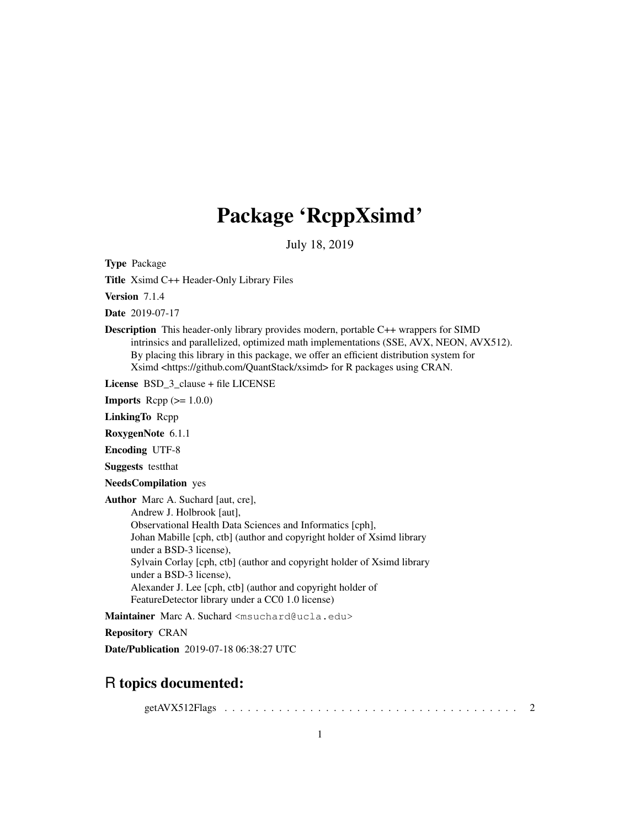# Package 'RcppXsimd'

July 18, 2019

Type Package

Title Xsimd C++ Header-Only Library Files

Version 7.1.4

Date 2019-07-17

Description This header-only library provides modern, portable C++ wrappers for SIMD intrinsics and parallelized, optimized math implementations (SSE, AVX, NEON, AVX512). By placing this library in this package, we offer an efficient distribution system for Xsimd <https://github.com/QuantStack/xsimd> for R packages using CRAN.

License BSD\_3\_clause + file LICENSE

**Imports** Rcpp  $(>= 1.0.0)$ 

LinkingTo Rcpp

RoxygenNote 6.1.1

Encoding UTF-8

Suggests testthat

NeedsCompilation yes

Author Marc A. Suchard [aut, cre], Andrew J. Holbrook [aut], Observational Health Data Sciences and Informatics [cph], Johan Mabille [cph, ctb] (author and copyright holder of Xsimd library under a BSD-3 license), Sylvain Corlay [cph, ctb] (author and copyright holder of Xsimd library under a BSD-3 license), Alexander J. Lee [cph, ctb] (author and copyright holder of FeatureDetector library under a CC0 1.0 license)

Maintainer Marc A. Suchard <msuchard@ucla.edu>

Repository CRAN

Date/Publication 2019-07-18 06:38:27 UTC

## R topics documented:

getAVX512Flags . . . . . . . . . . . . . . . . . . . . . . . . . . . . . . . . . . . . . . 2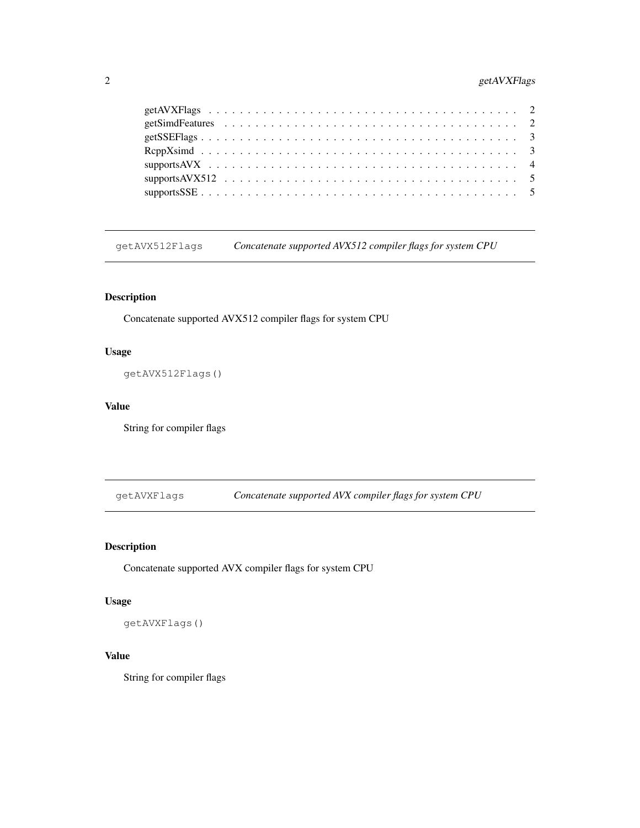## 2 getAVXFlags

getAVX512Flags *Concatenate supported AVX512 compiler flags for system CPU*

## Description

Concatenate supported AVX512 compiler flags for system CPU

## Usage

getAVX512Flags()

## Value

String for compiler flags

getAVXFlags *Concatenate supported AVX compiler flags for system CPU*

## Description

Concatenate supported AVX compiler flags for system CPU

## Usage

getAVXFlags()

## Value

String for compiler flags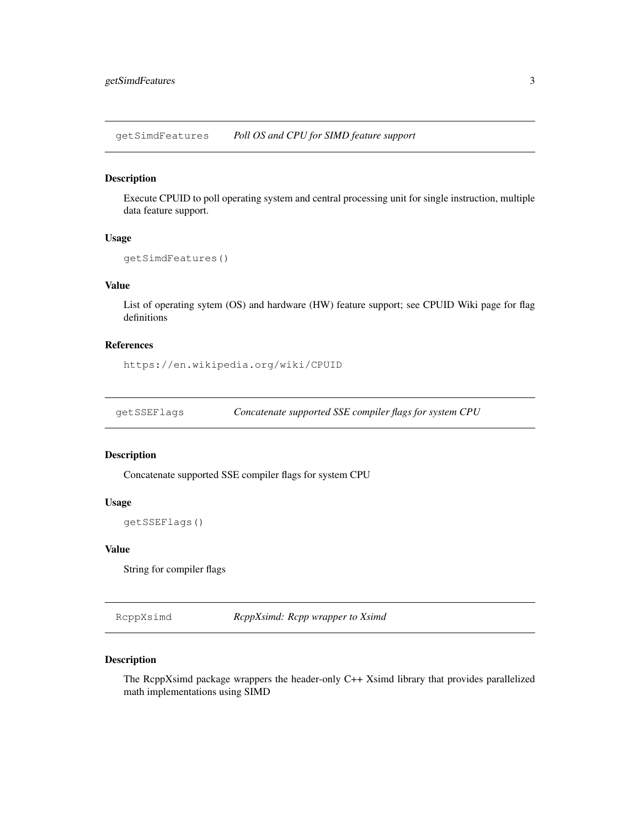getSimdFeatures *Poll OS and CPU for SIMD feature support*

## Description

Execute CPUID to poll operating system and central processing unit for single instruction, multiple data feature support.

#### Usage

```
getSimdFeatures()
```
## Value

List of operating sytem (OS) and hardware (HW) feature support; see CPUID Wiki page for flag definitions

## References

https://en.wikipedia.org/wiki/CPUID

getSSEFlags *Concatenate supported SSE compiler flags for system CPU*

## Description

Concatenate supported SSE compiler flags for system CPU

#### Usage

```
getSSEFlags()
```
#### Value

String for compiler flags

RcppXsimd *RcppXsimd: Rcpp wrapper to Xsimd*

#### Description

The RcppXsimd package wrappers the header-only C++ Xsimd library that provides parallelized math implementations using SIMD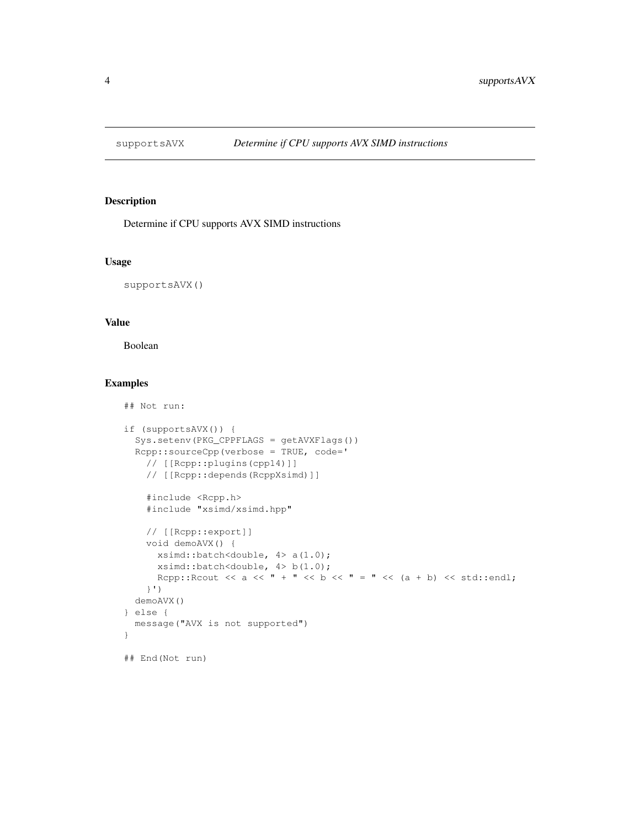## Description

Determine if CPU supports AVX SIMD instructions

#### Usage

supportsAVX()

## Value

Boolean

## Not run:

## Examples

```
if (supportsAVX()) {
 Sys.setenv(PKG_CPPFLAGS = getAVXFlags())
 Rcpp::sourceCpp(verbose = TRUE, code='
   // [[Rcpp::plugins(cpp14)]]
   // [[Rcpp::depends(RcppXsimd)]]
   #include <Rcpp.h>
   #include "xsimd/xsimd.hpp"
   // [[Rcpp::export]]
   void demoAVX() {
     xsimd::batch<double, 4> a(1.0);
     xsimd::batch<double, 4> b(1.0);
     Rcpp::Rcout << a << " + " << b << " = " << (a + b) << std::endl;
   }')
 demoAVX()
} else {
 message("AVX is not supported")
}
## End(Not run)
```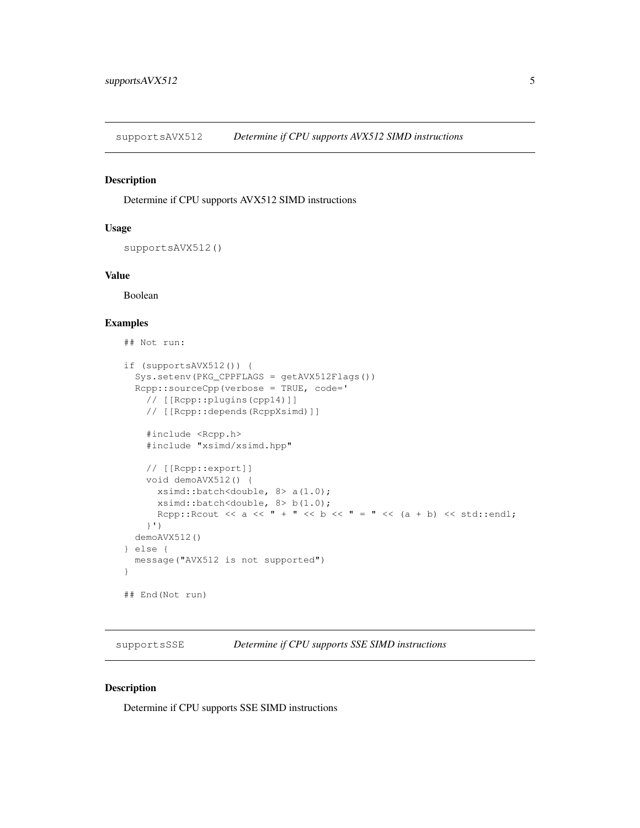supportsAVX512 *Determine if CPU supports AVX512 SIMD instructions*

## Description

Determine if CPU supports AVX512 SIMD instructions

#### Usage

supportsAVX512()

#### Value

Boolean

## Examples

```
## Not run:
if (supportsAVX512()) {
  Sys.setenv(PKG_CPPFLAGS = getAVX512Flags())
  Rcpp::sourceCpp(verbose = TRUE, code='
   // [[Rcpp::plugins(cpp14)]]
    // [[Rcpp::depends(RcppXsimd)]]
    #include <Rcpp.h>
    #include "xsimd/xsimd.hpp"
    // [[Rcpp::export]]
    void demoAVX512() {
     xsimd::batch<double, 8> a(1.0);
     xsimd::batch<double, 8> b(1.0);
     Rcpp::Rcout << a << " + " << b << " = " << (a + b) << std::endl;
    }')
  demoAVX512()
} else {
 message("AVX512 is not supported")
}
## End(Not run)
```
supportsSSE *Determine if CPU supports SSE SIMD instructions*

## Description

Determine if CPU supports SSE SIMD instructions